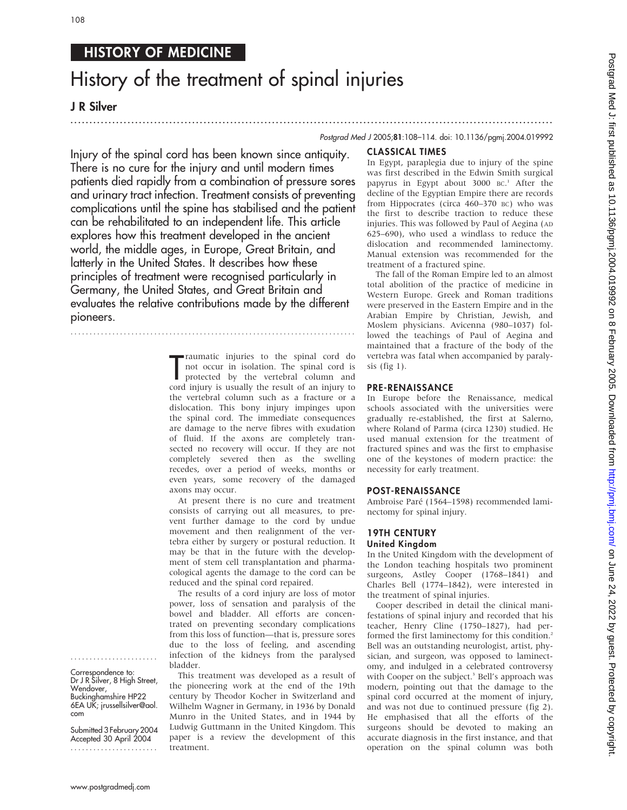# HISTORY OF MEDICINE

# History of the treatment of spinal injuries

...............................................................................................................................

## J R Silver

Postgrad Med J 2005;81:108–114. doi: 10.1136/pgmj.2004.019992

Injury of the spinal cord has been known since antiquity. There is no cure for the injury and until modern times patients died rapidly from a combination of pressure sores and urinary tract infection. Treatment consists of preventing complications until the spine has stabilised and the patient can be rehabilitated to an independent life. This article explores how this treatment developed in the ancient world, the middle ages, in Europe, Great Britain, and latterly in the United States. It describes how these principles of treatment were recognised particularly in Germany, the United States, and Great Britain and evaluates the relative contributions made by the different pioneers.

...........................................................................

Traumatic injuries to the spinal cord do<br>not occur in isolation. The spinal cord is<br>protected by the vertebral column and<br>cord injury is usually the result of an injury to raumatic injuries to the spinal cord do not occur in isolation. The spinal cord is protected by the vertebral column and the vertebral column such as a fracture or a dislocation. This bony injury impinges upon the spinal cord. The immediate consequences are damage to the nerve fibres with exudation of fluid. If the axons are completely transected no recovery will occur. If they are not completely severed then as the swelling recedes, over a period of weeks, months or even years, some recovery of the damaged axons may occur.

At present there is no cure and treatment consists of carrying out all measures, to prevent further damage to the cord by undue movement and then realignment of the vertebra either by surgery or postural reduction. It may be that in the future with the development of stem cell transplantation and pharmacological agents the damage to the cord can be reduced and the spinal cord repaired.

The results of a cord injury are loss of motor power, loss of sensation and paralysis of the bowel and bladder. All efforts are concentrated on preventing secondary complications from this loss of function—that is, pressure sores due to the loss of feeling, and ascending infection of the kidneys from the paralysed bladder.

This treatment was developed as a result of the pioneering work at the end of the 19th century by Theodor Kocher in Switzerland and Wilhelm Wagner in Germany, in 1936 by Donald Munro in the United States, and in 1944 by Ludwig Guttmann in the United Kingdom. This paper is a review the development of this treatment.

# CLASSICAL TIMES

In Egypt, paraplegia due to injury of the spine was first described in the Edwin Smith surgical papyrus in Egypt about 3000 BC. <sup>1</sup> After the decline of the Egyptian Empire there are records from Hippocrates (circa 460–370 BC) who was the first to describe traction to reduce these injuries. This was followed by Paul of Aegina (AD 625–690), who used a windlass to reduce the dislocation and recommended laminectomy. Manual extension was recommended for the treatment of a fractured spine.

The fall of the Roman Empire led to an almost total abolition of the practice of medicine in Western Europe. Greek and Roman traditions were preserved in the Eastern Empire and in the Arabian Empire by Christian, Jewish, and Moslem physicians. Avicenna (980–1037) followed the teachings of Paul of Aegina and maintained that a fracture of the body of the vertebra was fatal when accompanied by paralysis (fig 1).

### PRE-RENAISSANCE

In Europe before the Renaissance, medical schools associated with the universities were gradually re-established, the first at Salerno, where Roland of Parma (circa 1230) studied. He used manual extension for the treatment of fractured spines and was the first to emphasise one of the keystones of modern practice: the necessity for early treatment.

#### POST-RENAISSANCE

Ambroise Paré (1564–1598) recommended laminectomy for spinal injury.

#### 19TH CENTURY United Kingdom

In the United Kingdom with the development of the London teaching hospitals two prominent surgeons, Astley Cooper (1768–1841) and Charles Bell (1774–1842), were interested in the treatment of spinal injuries.

Cooper described in detail the clinical manifestations of spinal injury and recorded that his teacher, Henry Cline (1750–1827), had performed the first laminectomy for this condition.<sup>2</sup> Bell was an outstanding neurologist, artist, physician, and surgeon, was opposed to laminectomy, and indulged in a celebrated controversy with Cooper on the subject.<sup>3</sup> Bell's approach was modern, pointing out that the damage to the spinal cord occurred at the moment of injury, and was not due to continued pressure (fig 2). He emphasised that all the efforts of the surgeons should be devoted to making an accurate diagnosis in the first instance, and that operation on the spinal column was both

....................... Correspondence to:

Dr J R Silver, 8 High Street, Wendover, Buckinghamshire HP22 6EA UK; jrussellsilver@aol. com

Submitted 3 February 2004 Accepted 30 April 2004 .......................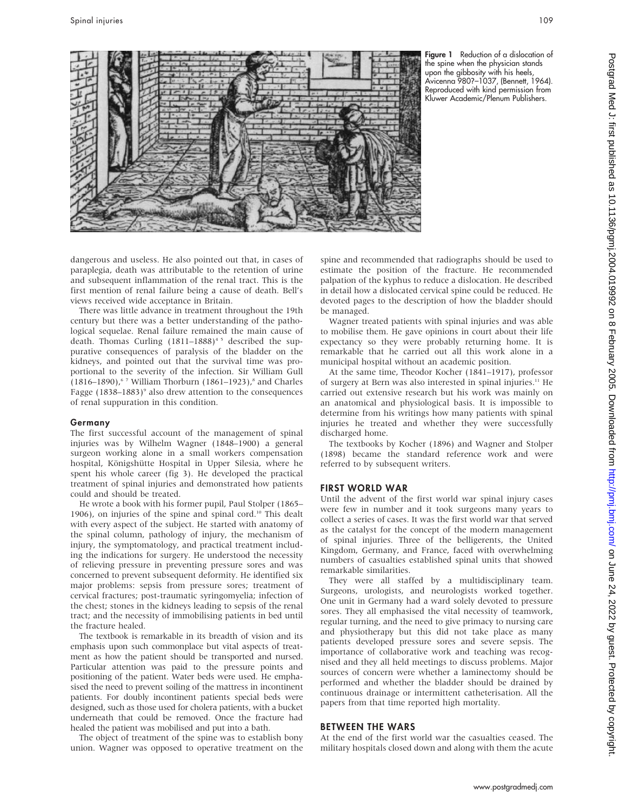

Figure 1 Reduction of a dislocation of the spine when the physician stands upon the gibbosity with his heels, Avicenna 980?–1037, (Bennett, 1964). Reproduced with kind permission from Kluwer Academic/Plenum Publishers.

dangerous and useless. He also pointed out that, in cases of paraplegia, death was attributable to the retention of urine and subsequent inflammation of the renal tract. This is the first mention of renal failure being a cause of death. Bell's views received wide acceptance in Britain.

There was little advance in treatment throughout the 19th century but there was a better understanding of the pathological sequelae. Renal failure remained the main cause of death. Thomas Curling (1811-1888)<sup>45</sup> described the suppurative consequences of paralysis of the bladder on the kidneys, and pointed out that the survival time was proportional to the severity of the infection. Sir William Gull (1816–1890),<sup>67</sup> William Thorburn (1861–1923),<sup>8</sup> and Charles Fagge (1838–1883) $^{\circ}$  also drew attention to the consequences of renal suppuration in this condition.

#### Germany

The first successful account of the management of spinal injuries was by Wilhelm Wagner (1848–1900) a general surgeon working alone in a small workers compensation hospital, Königshütte Hospital in Upper Silesia, where he spent his whole career (fig 3). He developed the practical treatment of spinal injuries and demonstrated how patients could and should be treated.

He wrote a book with his former pupil, Paul Stolper (1865– 1906), on injuries of the spine and spinal cord.<sup>10</sup> This dealt with every aspect of the subject. He started with anatomy of the spinal column, pathology of injury, the mechanism of injury, the symptomatology, and practical treatment including the indications for surgery. He understood the necessity of relieving pressure in preventing pressure sores and was concerned to prevent subsequent deformity. He identified six major problems: sepsis from pressure sores; treatment of cervical fractures; post-traumatic syringomyelia; infection of the chest; stones in the kidneys leading to sepsis of the renal tract; and the necessity of immobilising patients in bed until the fracture healed.

The textbook is remarkable in its breadth of vision and its emphasis upon such commonplace but vital aspects of treatment as how the patient should be transported and nursed. Particular attention was paid to the pressure points and positioning of the patient. Water beds were used. He emphasised the need to prevent soiling of the mattress in incontinent patients. For doubly incontinent patients special beds were designed, such as those used for cholera patients, with a bucket underneath that could be removed. Once the fracture had healed the patient was mobilised and put into a bath.

The object of treatment of the spine was to establish bony union. Wagner was opposed to operative treatment on the spine and recommended that radiographs should be used to estimate the position of the fracture. He recommended palpation of the kyphus to reduce a dislocation. He described in detail how a dislocated cervical spine could be reduced. He devoted pages to the description of how the bladder should be managed.

Wagner treated patients with spinal injuries and was able to mobilise them. He gave opinions in court about their life expectancy so they were probably returning home. It is remarkable that he carried out all this work alone in a municipal hospital without an academic position.

At the same time, Theodor Kocher (1841–1917), professor of surgery at Bern was also interested in spinal injuries.<sup>11</sup> He carried out extensive research but his work was mainly on an anatomical and physiological basis. It is impossible to determine from his writings how many patients with spinal injuries he treated and whether they were successfully discharged home.

The textbooks by Kocher (1896) and Wagner and Stolper (1898) became the standard reference work and were referred to by subsequent writers.

#### FIRST WORLD WAR

Until the advent of the first world war spinal injury cases were few in number and it took surgeons many years to collect a series of cases. It was the first world war that served as the catalyst for the concept of the modern management of spinal injuries. Three of the belligerents, the United Kingdom, Germany, and France, faced with overwhelming numbers of casualties established spinal units that showed remarkable similarities.

They were all staffed by a multidisciplinary team. Surgeons, urologists, and neurologists worked together. One unit in Germany had a ward solely devoted to pressure sores. They all emphasised the vital necessity of teamwork, regular turning, and the need to give primacy to nursing care and physiotherapy but this did not take place as many patients developed pressure sores and severe sepsis. The importance of collaborative work and teaching was recognised and they all held meetings to discuss problems. Major sources of concern were whether a laminectomy should be performed and whether the bladder should be drained by continuous drainage or intermittent catheterisation. All the papers from that time reported high mortality.

#### BETWEEN THE WARS

At the end of the first world war the casualties ceased. The military hospitals closed down and along with them the acute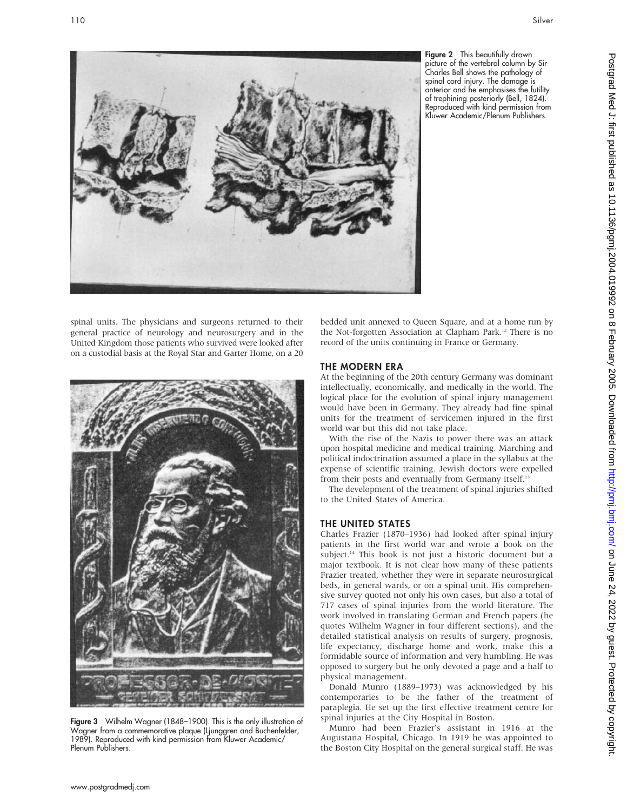

Figure 2 This beautifully drawn picture of the vertebral column by Sir Charles Bell shows the pathology of spinal cord injury. The damage is anterior and he emphasises the futility of trephining posteriorly (Bell, 1824). Reproduced with kind permission from Kluwer Academic/Plenum Publishers.

spinal units. The physicians and surgeons returned to their general practice of neurology and neurosurgery and in the United Kingdom those patients who survived were looked after on a custodial basis at the Royal Star and Garter Home, on a 20



Figure 3 Wilhelm Wagner (1848-1900). This is the only illustration of Wagner from a commemorative plaque (Ljunggren and Buchenfelder, 1989). Reproduced with kind permission from Kluwer Academic/ Plenum Publishers.

bedded unit annexed to Queen Square, and at a home run by the Not-forgotten Association at Clapham Park.12 There is no record of the units continuing in France or Germany.

#### THE MODERN ERA

At the beginning of the 20th century Germany was dominant intellectually, economically, and medically in the world. The logical place for the evolution of spinal injury management would have been in Germany. They already had fine spinal units for the treatment of servicemen injured in the first world war but this did not take place.

With the rise of the Nazis to power there was an attack upon hospital medicine and medical training. Marching and political indoctrination assumed a place in the syllabus at the expense of scientific training. Jewish doctors were expelled from their posts and eventually from Germany itself.<sup>13</sup>

The development of the treatment of spinal injuries shifted to the United States of America.

#### THE UNITED STATES

Charles Frazier (1870–1936) had looked after spinal injury patients in the first world war and wrote a book on the subject.<sup>14</sup> This book is not just a historic document but a major textbook. It is not clear how many of these patients Frazier treated, whether they were in separate neurosurgical beds, in general wards, or on a spinal unit. His comprehensive survey quoted not only his own cases, but also a total of 717 cases of spinal injuries from the world literature. The work involved in translating German and French papers (he quotes Wilhelm Wagner in four different sections), and the detailed statistical analysis on results of surgery, prognosis, life expectancy, discharge home and work, make this a formidable source of information and very humbling. He was opposed to surgery but he only devoted a page and a half to physical management.

Donald Munro (1889–1973) was acknowledged by his contemporaries to be the father of the treatment of paraplegia. He set up the first effective treatment centre for spinal injuries at the City Hospital in Boston.

Munro had been Frazier's assistant in 1916 at the Augustana Hospital, Chicago. In 1919 he was appointed to the Boston City Hospital on the general surgical staff. He was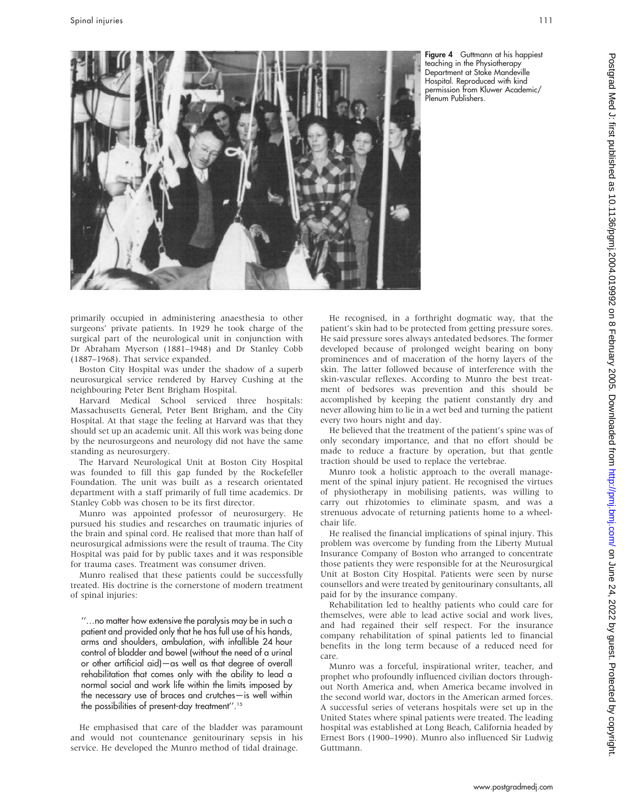

Figure 4 Guttmann at his happiest teaching in the Physiotherapy Department at Stoke Mandeville Hospital. Reproduced with kind permission from Kluwer Academic/ Plenum Publishers.

primarily occupied in administering anaesthesia to other surgeons' private patients. In 1929 he took charge of the surgical part of the neurological unit in conjunction with Dr Abraham Myerson (1881–1948) and Dr Stanley Cobb (1887–1968). That service expanded.

Boston City Hospital was under the shadow of a superb neurosurgical service rendered by Harvey Cushing at the neighbouring Peter Bent Brigham Hospital.

Harvard Medical School serviced three hospitals: Massachusetts General, Peter Bent Brigham, and the City Hospital. At that stage the feeling at Harvard was that they should set up an academic unit. All this work was being done by the neurosurgeons and neurology did not have the same standing as neurosurgery.

The Harvard Neurological Unit at Boston City Hospital was founded to fill this gap funded by the Rockefeller Foundation. The unit was built as a research orientated department with a staff primarily of full time academics. Dr Stanley Cobb was chosen to be its first director.

Munro was appointed professor of neurosurgery. He pursued his studies and researches on traumatic injuries of the brain and spinal cord. He realised that more than half of neurosurgical admissions were the result of trauma. The City Hospital was paid for by public taxes and it was responsible for trauma cases. Treatment was consumer driven.

Munro realised that these patients could be successfully treated. His doctrine is the cornerstone of modern treatment of spinal injuries:

''…no matter how extensive the paralysis may be in such a patient and provided only that he has full use of his hands, arms and shoulders, ambulation, with infallible 24 hour control of bladder and bowel (without the need of a urinal or other artificial aid)—as well as that degree of overall rehabilitation that comes only with the ability to lead a normal social and work life within the limits imposed by the necessary use of braces and crutches—is well within the possibilities of present-day treatment".<sup>15</sup>

He emphasised that care of the bladder was paramount and would not countenance genitourinary sepsis in his service. He developed the Munro method of tidal drainage.

He recognised, in a forthright dogmatic way, that the patient's skin had to be protected from getting pressure sores. He said pressure sores always antedated bedsores. The former developed because of prolonged weight bearing on bony prominences and of maceration of the horny layers of the skin. The latter followed because of interference with the skin-vascular reflexes. According to Munro the best treatment of bedsores was prevention and this should be accomplished by keeping the patient constantly dry and never allowing him to lie in a wet bed and turning the patient every two hours night and day.

He believed that the treatment of the patient's spine was of only secondary importance, and that no effort should be made to reduce a fracture by operation, but that gentle traction should be used to replace the vertebrae.

Munro took a holistic approach to the overall management of the spinal injury patient. He recognised the virtues of physiotherapy in mobilising patients, was willing to carry out rhizotomies to eliminate spasm, and was a strenuous advocate of returning patients home to a wheelchair life.

He realised the financial implications of spinal injury. This problem was overcome by funding from the Liberty Mutual Insurance Company of Boston who arranged to concentrate those patients they were responsible for at the Neurosurgical Unit at Boston City Hospital. Patients were seen by nurse counsellors and were treated by genitourinary consultants, all paid for by the insurance company.

Rehabilitation led to healthy patients who could care for themselves, were able to lead active social and work lives, and had regained their self respect. For the insurance company rehabilitation of spinal patients led to financial benefits in the long term because of a reduced need for care.

Munro was a forceful, inspirational writer, teacher, and prophet who profoundly influenced civilian doctors throughout North America and, when America became involved in the second world war, doctors in the American armed forces. A successful series of veterans hospitals were set up in the United States where spinal patients were treated. The leading hospital was established at Long Beach, California headed by Ernest Bors (1900–1990). Munro also influenced Sir Ludwig Guttmann.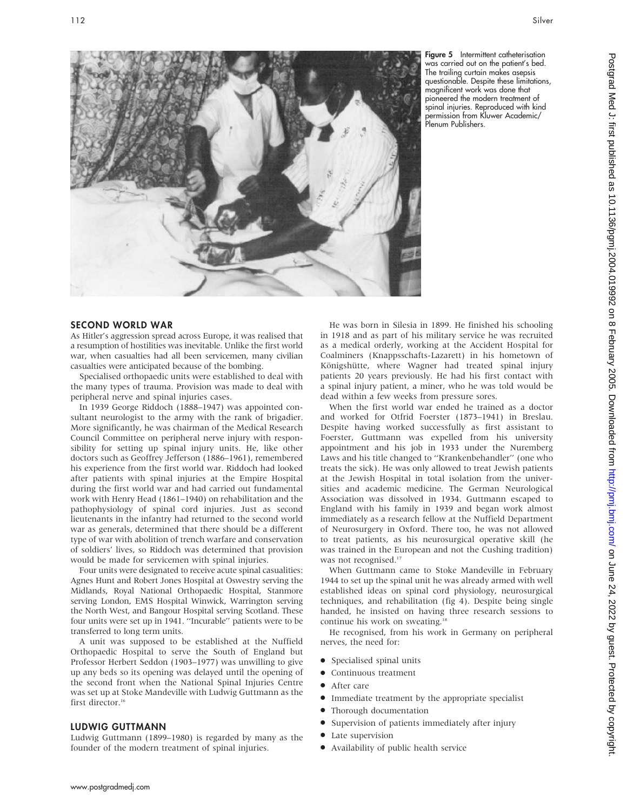

Figure 5 Intermittent catheterisation was carried out on the patient's bed. The trailing curtain makes asepsis questionable. Despite these limitations, magnificent work was done that pioneered the modern treatment of spinal injuries. Reproduced with kind permission from Kluwer Academic/ Plenum Publishers.

#### SECOND WORLD WAR

As Hitler's aggression spread across Europe, it was realised that a resumption of hostilities was inevitable. Unlike the first world war, when casualties had all been servicemen, many civilian casualties were anticipated because of the bombing.

Specialised orthopaedic units were established to deal with the many types of trauma. Provision was made to deal with peripheral nerve and spinal injuries cases.

In 1939 George Riddoch (1888–1947) was appointed consultant neurologist to the army with the rank of brigadier. More significantly, he was chairman of the Medical Research Council Committee on peripheral nerve injury with responsibility for setting up spinal injury units. He, like other doctors such as Geoffrey Jefferson (1886–1961), remembered his experience from the first world war. Riddoch had looked after patients with spinal injuries at the Empire Hospital during the first world war and had carried out fundamental work with Henry Head (1861–1940) on rehabilitation and the pathophysiology of spinal cord injuries. Just as second lieutenants in the infantry had returned to the second world war as generals, determined that there should be a different type of war with abolition of trench warfare and conservation of soldiers' lives, so Riddoch was determined that provision would be made for servicemen with spinal injuries.

Four units were designated to receive acute spinal casualities: Agnes Hunt and Robert Jones Hospital at Oswestry serving the Midlands, Royal National Orthopaedic Hospital, Stanmore serving London, EMS Hospital Winwick, Warrington serving the North West, and Bangour Hospital serving Scotland. These four units were set up in 1941. ''Incurable'' patients were to be transferred to long term units.

A unit was supposed to be established at the Nuffield Orthopaedic Hospital to serve the South of England but Professor Herbert Seddon (1903–1977) was unwilling to give up any beds so its opening was delayed until the opening of the second front when the National Spinal Injuries Centre was set up at Stoke Mandeville with Ludwig Guttmann as the first director.<sup>16</sup>

### LUDWIG GUTTMANN

Ludwig Guttmann (1899–1980) is regarded by many as the founder of the modern treatment of spinal injuries.

He was born in Silesia in 1899. He finished his schooling in 1918 and as part of his military service he was recruited as a medical orderly, working at the Accident Hospital for Coalminers (Knappsschafts-Lazarett) in his hometown of Königshütte, where Wagner had treated spinal injury patients 20 years previously. He had his first contact with a spinal injury patient, a miner, who he was told would be dead within a few weeks from pressure sores.

When the first world war ended he trained as a doctor and worked for Otfrid Foerster (1873–1941) in Breslau. Despite having worked successfully as first assistant to Foerster, Guttmann was expelled from his university appointment and his job in 1933 under the Nuremberg Laws and his title changed to ''Krankenbehandler'' (one who treats the sick). He was only allowed to treat Jewish patients at the Jewish Hospital in total isolation from the universities and academic medicine. The German Neurological Association was dissolved in 1934. Guttmann escaped to England with his family in 1939 and began work almost immediately as a research fellow at the Nuffield Department of Neurosurgery in Oxford. There too, he was not allowed to treat patients, as his neurosurgical operative skill (he was trained in the European and not the Cushing tradition) was not recognised.<sup>17</sup>

When Guttmann came to Stoke Mandeville in February 1944 to set up the spinal unit he was already armed with well established ideas on spinal cord physiology, neurosurgical techniques, and rehabilitation (fig 4). Despite being single handed, he insisted on having three research sessions to continue his work on sweating.<sup>18</sup>

He recognised, from his work in Germany on peripheral nerves, the need for:

- Specialised spinal units
- $\bullet$  Continuous treatment
- After care
- Immediate treatment by the appropriate specialist
- Thorough documentation
- Supervision of patients immediately after injury
- Late supervision
- Availability of public health service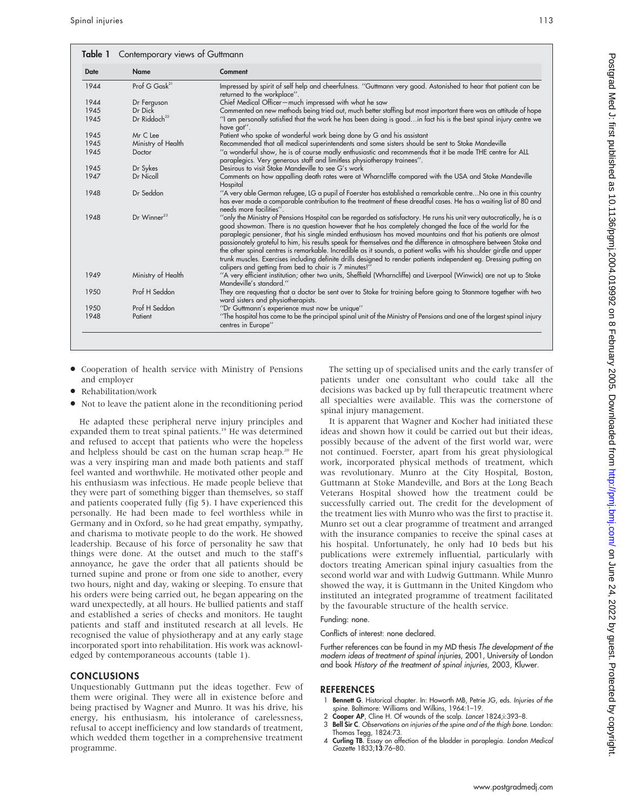| Date | Name                      | Comment                                                                                                                                                                                                                                                                                                                                                                                                                                                                                                                                                                                                                                                                                                                                                                      |
|------|---------------------------|------------------------------------------------------------------------------------------------------------------------------------------------------------------------------------------------------------------------------------------------------------------------------------------------------------------------------------------------------------------------------------------------------------------------------------------------------------------------------------------------------------------------------------------------------------------------------------------------------------------------------------------------------------------------------------------------------------------------------------------------------------------------------|
| 1944 | Prof G Gask <sup>21</sup> | Impressed by spirit of self help and cheerfulness. "Guttmann very good. Astonished to hear that patient can be<br>returned to the workplace".                                                                                                                                                                                                                                                                                                                                                                                                                                                                                                                                                                                                                                |
| 1944 | Dr Ferguson               | Chief Medical Officer-much impressed with what he saw                                                                                                                                                                                                                                                                                                                                                                                                                                                                                                                                                                                                                                                                                                                        |
| 1945 | Dr Dick                   | Commented on new methods being tried out, much better staffing but most important there was an attitude of hope                                                                                                                                                                                                                                                                                                                                                                                                                                                                                                                                                                                                                                                              |
| 1945 | Dr Riddoch <sup>22</sup>  | "I am personally satisfied that the work he has been doing is goodin fact his is the best spinal injury centre we<br>have got".                                                                                                                                                                                                                                                                                                                                                                                                                                                                                                                                                                                                                                              |
| 1945 | Mr C Lee                  | Patient who spoke of wonderful work being done by G and his assistant                                                                                                                                                                                                                                                                                                                                                                                                                                                                                                                                                                                                                                                                                                        |
| 1945 | Ministry of Health        | Recommended that all medical superintendents and some sisters should be sent to Stoke Mandeville                                                                                                                                                                                                                                                                                                                                                                                                                                                                                                                                                                                                                                                                             |
| 1945 | Doctor                    | "a wonderful show, he is of course madly enthusiastic and recommends that it be made THE centre for ALL<br>paraplegics. Very generous staff and limitless physiotherapy trainees".                                                                                                                                                                                                                                                                                                                                                                                                                                                                                                                                                                                           |
| 1945 | Dr Sykes                  | Desirous to visit Stoke Mandeville to see G's work                                                                                                                                                                                                                                                                                                                                                                                                                                                                                                                                                                                                                                                                                                                           |
| 1947 | Dr Nicoll                 | Comments on how appalling death rates were at Wharncliffe compared with the USA and Stoke Mandeville<br>Hospital                                                                                                                                                                                                                                                                                                                                                                                                                                                                                                                                                                                                                                                             |
| 1948 | Dr Seddon                 | "A very able German refugee, LG a pupil of Foerster has established a remarkable centreNo one in this country<br>has ever made a comparable contribution to the treatment of these dreadful cases. He has a waiting list of 80 and<br>needs more facilities".                                                                                                                                                                                                                                                                                                                                                                                                                                                                                                                |
| 1948 | $Dr$ Winner <sup>23</sup> | only the Ministry of Pensions Hospital can be regarded as satisfactory. He runs his unit very autocratically, he is a'<br>good showman. There is no question however that he has completely changed the face of the world for the<br>paraplegic pensioner, that his single minded enthusiasm has moved mountains and that his patients are almost<br>passionately grateful to him, his results speak for themselves and the difference in atmosphere between Stoke and<br>the other spinal centres is remarkable. Incredible as it sounds, a patient walks with his shoulder girdle and upper<br>trunk muscles. Exercises including definite drills designed to render patients independent eg. Dressing putting on<br>calipers and getting from bed to chair is 7 minutes!" |
| 1949 | Ministry of Health        | "A very efficient institution; other two units, Sheffield (Wharncliffe) and Liverpool (Winwick) are not up to Stoke<br>Mandeville's standard."                                                                                                                                                                                                                                                                                                                                                                                                                                                                                                                                                                                                                               |
| 1950 | Prof H Seddon             | They are requesting that a doctor be sent over to Stoke for training before going to Stanmore together with two<br>ward sisters and physiotherapists.                                                                                                                                                                                                                                                                                                                                                                                                                                                                                                                                                                                                                        |
| 1950 | Prof H Seddon             | "Dr Guttmann's experience must now be unique"                                                                                                                                                                                                                                                                                                                                                                                                                                                                                                                                                                                                                                                                                                                                |
| 1948 | Patient                   | "The hospital has come to be the principal spinal unit of the Ministry of Pensions and one of the largest spinal injury<br>centres in Europe"                                                                                                                                                                                                                                                                                                                                                                                                                                                                                                                                                                                                                                |

- $\bullet$  Cooperation of health service with Ministry of Pensions and employer
- Rehabilitation/work
- $\bullet$  Not to leave the patient alone in the reconditioning period

He adapted these peripheral nerve injury principles and expanded them to treat spinal patients.<sup>19</sup> He was determined and refused to accept that patients who were the hopeless and helpless should be cast on the human scrap heap.<sup>20</sup> He was a very inspiring man and made both patients and staff feel wanted and worthwhile. He motivated other people and his enthusiasm was infectious. He made people believe that they were part of something bigger than themselves, so staff and patients cooperated fully (fig 5). I have experienced this personally. He had been made to feel worthless while in Germany and in Oxford, so he had great empathy, sympathy, and charisma to motivate people to do the work. He showed leadership. Because of his force of personality he saw that things were done. At the outset and much to the staff's annoyance, he gave the order that all patients should be turned supine and prone or from one side to another, every two hours, night and day, waking or sleeping. To ensure that his orders were being carried out, he began appearing on the ward unexpectedly, at all hours. He bullied patients and staff and established a series of checks and monitors. He taught patients and staff and instituted research at all levels. He recognised the value of physiotherapy and at any early stage incorporated sport into rehabilitation. His work was acknowledged by contemporaneous accounts (table 1).

### **CONCLUSIONS**

Unquestionably Guttmann put the ideas together. Few of them were original. They were all in existence before and being practised by Wagner and Munro. It was his drive, his energy, his enthusiasm, his intolerance of carelessness, refusal to accept inefficiency and low standards of treatment, which wedded them together in a comprehensive treatment programme.

The setting up of specialised units and the early transfer of patients under one consultant who could take all the decisions was backed up by full therapeutic treatment where all specialties were available. This was the cornerstone of spinal injury management.

It is apparent that Wagner and Kocher had initiated these ideas and shown how it could be carried out but their ideas, possibly because of the advent of the first world war, were not continued. Foerster, apart from his great physiological work, incorporated physical methods of treatment, which was revolutionary. Munro at the City Hospital, Boston, Guttmann at Stoke Mandeville, and Bors at the Long Beach Veterans Hospital showed how the treatment could be successfully carried out. The credit for the development of the treatment lies with Munro who was the first to practise it. Munro set out a clear programme of treatment and arranged with the insurance companies to receive the spinal cases at his hospital. Unfortunately, he only had 10 beds but his publications were extremely influential, particularly with doctors treating American spinal injury casualties from the second world war and with Ludwig Guttmann. While Munro showed the way, it is Guttmann in the United Kingdom who instituted an integrated programme of treatment facilitated by the favourable structure of the health service.

Funding: none.

Conflicts of interest: none declared.

Further references can be found in my MD thesis The development of the modern ideas of treatment of spinal injuries, 2001, University of London and book History of the treatment of spinal injuries, 2003, Kluwer.

#### **REFERENCES**

- 1 Bennett G. Historical chapter. In: Howorth MB, Petrie JG, eds. Injuries of the spine. Baltimore: Williams and Wilkins, 1964:1–19.<br>2 **Cooper AP**, Cline H. Of wounds of the scalp. *Lancet* 1824;i:393–8.
- 
- 3 Bell Sir C. Observations on injuries of the spine and of the thigh bone. London: Thomas Tegg, 1824:73.
- 4 Curling TB. Essay on affection of the bladder in paraplegia. London Medical Gazette 1833;13:76–80.